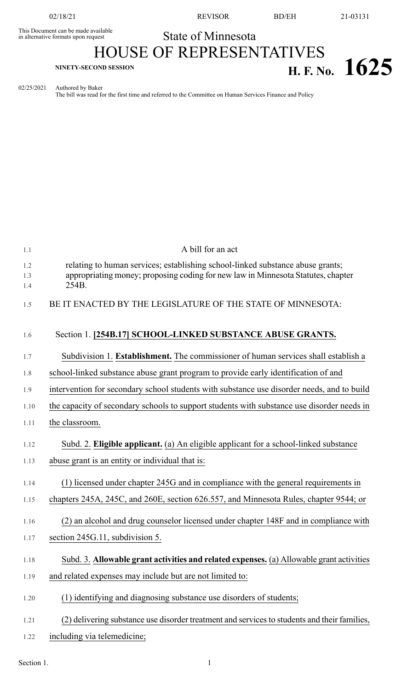This Document can be made available<br>in alternative formats upon request

02/18/21 REVISOR BD/EH 21-03131

## State of Minnesota

## HOUSE OF REPRESENTATIVES **H. F. No. 1625 H. F. No. 1625**

02/25/2021 Authored by Baker

The bill was read for the first time and referred to the Committee on Human Services Finance and Policy

| 1.1               | A bill for an act                                                                                                                                                           |
|-------------------|-----------------------------------------------------------------------------------------------------------------------------------------------------------------------------|
| 1.2<br>1.3<br>1.4 | relating to human services; establishing school-linked substance abuse grants;<br>appropriating money; proposing coding for new law in Minnesota Statutes, chapter<br>254B. |
| 1.5               | BE IT ENACTED BY THE LEGISLATURE OF THE STATE OF MINNESOTA:                                                                                                                 |
| 1.6               | Section 1. [254B.17] SCHOOL-LINKED SUBSTANCE ABUSE GRANTS.                                                                                                                  |
| 1.7               | Subdivision 1. Establishment. The commissioner of human services shall establish a                                                                                          |
| 1.8               | school-linked substance abuse grant program to provide early identification of and                                                                                          |
| 1.9               | intervention for secondary school students with substance use disorder needs, and to build                                                                                  |
| 1.10              | the capacity of secondary schools to support students with substance use disorder needs in                                                                                  |
| 1.11              | the classroom.                                                                                                                                                              |
| 1.12              | Subd. 2. Eligible applicant. (a) An eligible applicant for a school-linked substance                                                                                        |
| 1.13              | abuse grant is an entity or individual that is:                                                                                                                             |
| 1.14              | (1) licensed under chapter 245G and in compliance with the general requirements in                                                                                          |
| 1.15              | chapters 245A, 245C, and 260E, section 626.557, and Minnesota Rules, chapter 9544; or                                                                                       |
| 1.16              | (2) an alcohol and drug counselor licensed under chapter 148F and in compliance with                                                                                        |
| 1.17              | section 245G.11, subdivision 5.                                                                                                                                             |
| 1.18              | Subd. 3. Allowable grant activities and related expenses. (a) Allowable grant activities                                                                                    |
| 1.19              | and related expenses may include but are not limited to:                                                                                                                    |
| 1.20              | (1) identifying and diagnosing substance use disorders of students;                                                                                                         |
| 1.21              | (2) delivering substance use disorder treatment and services to students and their families,                                                                                |
| 1.22              | including via telemedicine;                                                                                                                                                 |